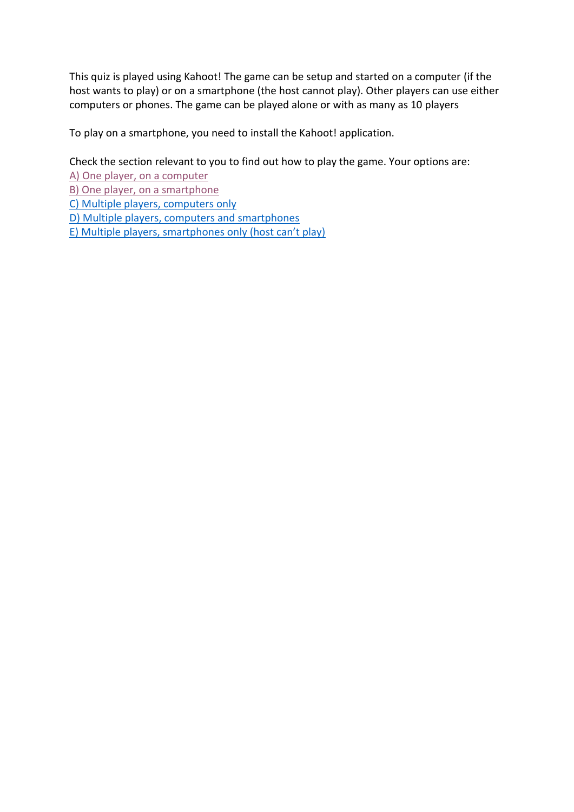This quiz is played using Kahoot! The game can be setup and started on a computer (if the host wants to play) or on a smartphone (the host cannot play). Other players can use either computers or phones. The game can be played alone or with as many as 10 players

To play on a smartphone, you need to install the Kahoot! application.

Check the section relevant to you to find out how to play the game. Your options are:

[A\) One player, on a computer](#page-1-0)

[B\) One player, on a smartphone](#page-2-0)

[C\) Multiple players, computers only](#page-3-0)

[D\) Multiple players, computers and smartphones](#page-4-0)

E) [Multiple players, smartphones only \(host can't play\)](#page-6-0)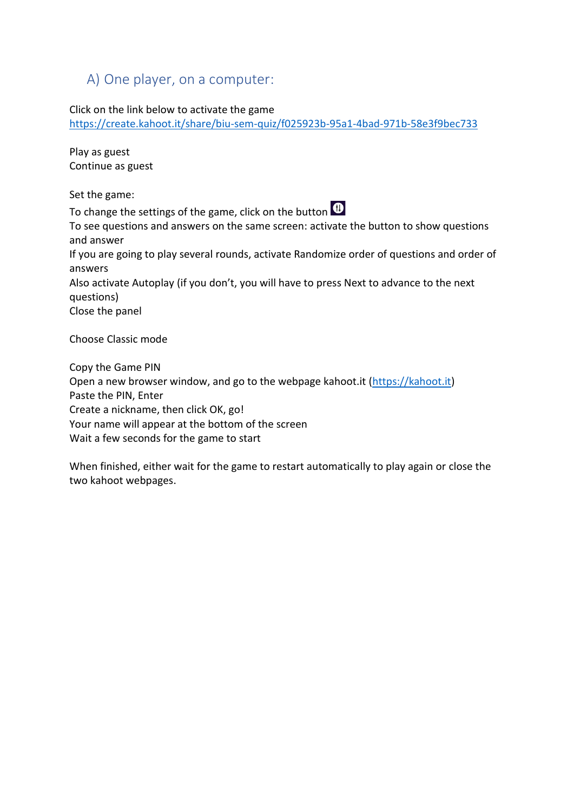## <span id="page-1-0"></span>A) One player, on a computer:

Click on the link below to activate the game

<https://create.kahoot.it/share/biu-sem-quiz/f025923b-95a1-4bad-971b-58e3f9bec733>

Play as guest Continue as guest

Set the game:

To change the settings of the game, click on the button  $\bigcirc$ 

To see questions and answers on the same screen: activate the button to show questions and answer

If you are going to play several rounds, activate Randomize order of questions and order of answers

Also activate Autoplay (if you don't, you will have to press Next to advance to the next questions)

Close the panel

Choose Classic mode

Copy the Game PIN Open a new browser window, and go to the webpage kahoot.it [\(https://kahoot.it\)](https://kahoot.it/) Paste the PIN, Enter Create a nickname, then click OK, go! Your name will appear at the bottom of the screen Wait a few seconds for the game to start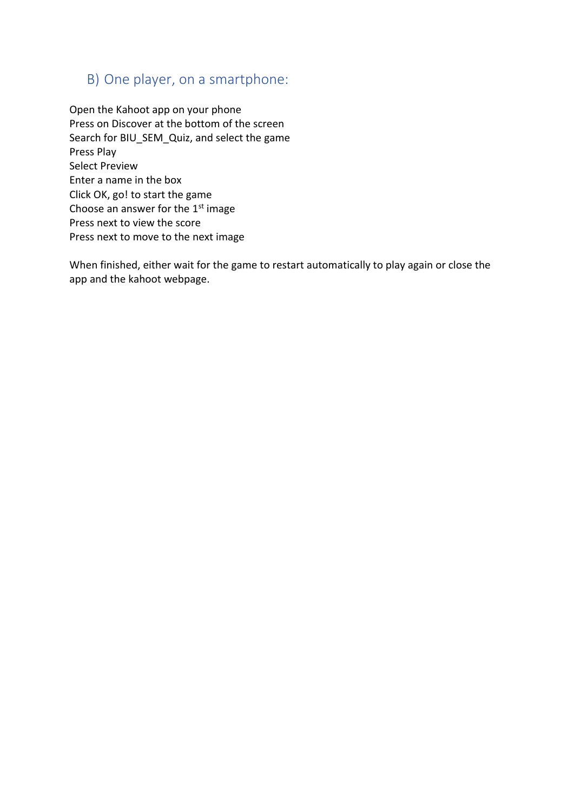#### <span id="page-2-0"></span>B) One player, on a smartphone:

Open the Kahoot app on your phone Press on Discover at the bottom of the screen Search for BIU\_SEM\_Quiz, and select the game Press Play Select Preview Enter a name in the box Click OK, go! to start the game Choose an answer for the  $1<sup>st</sup>$  image Press next to view the score Press next to move to the next image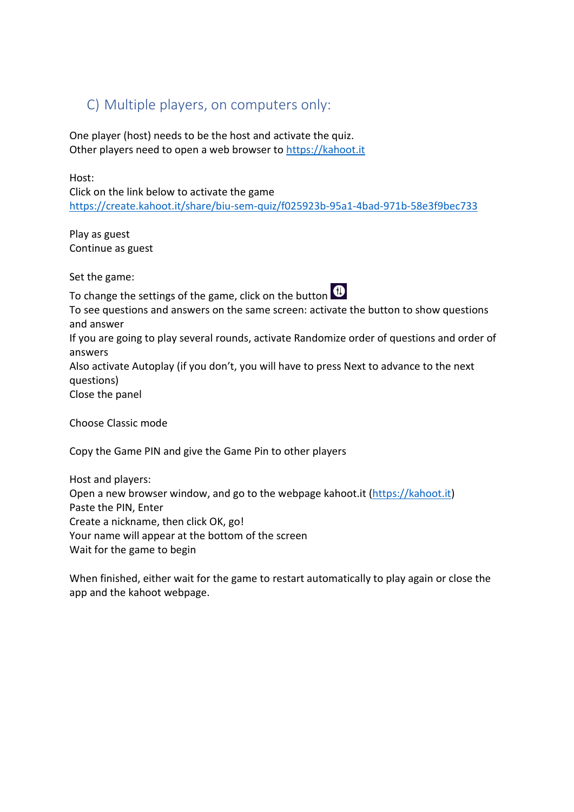### <span id="page-3-0"></span>C) Multiple players, on computers only:

One player (host) needs to be the host and activate the quiz. Other players need to open a web browser to [https://kahoot.it](https://kahoot.it/)

Host: Click on the link below to activate the game <https://create.kahoot.it/share/biu-sem-quiz/f025923b-95a1-4bad-971b-58e3f9bec733>

Play as guest Continue as guest

Set the game:

To change the settings of the game, click on the button  $\bigoplus$ 



To see questions and answers on the same screen: activate the button to show questions and answer

If you are going to play several rounds, activate Randomize order of questions and order of answers

Also activate Autoplay (if you don't, you will have to press Next to advance to the next questions)

Close the panel

Choose Classic mode

Copy the Game PIN and give the Game Pin to other players

Host and players: Open a new browser window, and go to the webpage kahoot.it [\(https://kahoot.it\)](https://kahoot.it/) Paste the PIN, Enter Create a nickname, then click OK, go! Your name will appear at the bottom of the screen Wait for the game to begin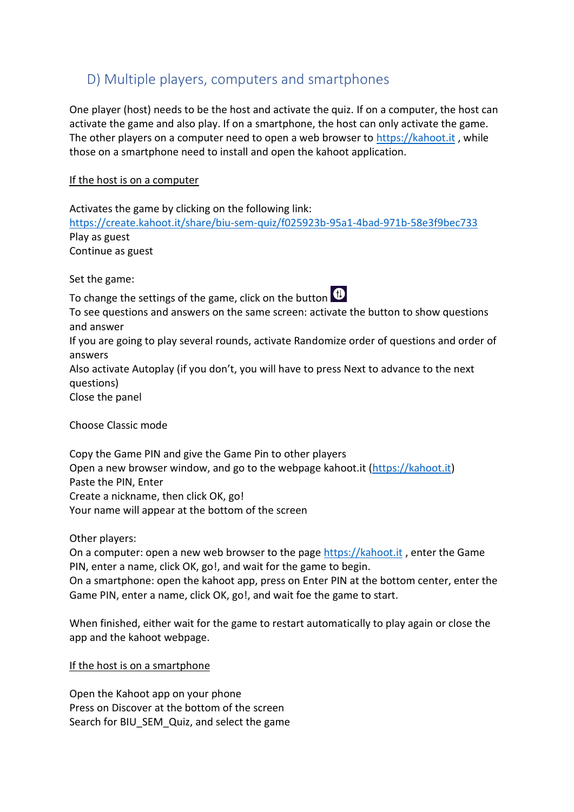### <span id="page-4-0"></span>D) Multiple players, computers and smartphones

One player (host) needs to be the host and activate the quiz. If on a computer, the host can activate the game and also play. If on a smartphone, the host can only activate the game. The other players on a computer need to open a web browser to [https://kahoot.it](https://kahoot.it/) , while those on a smartphone need to install and open the kahoot application.

#### If the host is on a computer

Activates the game by clicking on the following link: <https://create.kahoot.it/share/biu-sem-quiz/f025923b-95a1-4bad-971b-58e3f9bec733> Play as guest Continue as guest

Set the game:

To change the settings of the game, click on the button  $\bigcirc$ 



To see questions and answers on the same screen: activate the button to show questions and answer If you are going to play several rounds, activate Randomize order of questions and order of answers Also activate Autoplay (if you don't, you will have to press Next to advance to the next

questions)

Close the panel

Choose Classic mode

Copy the Game PIN and give the Game Pin to other players Open a new browser window, and go to the webpage kahoot.it [\(https://kahoot.it\)](https://kahoot.it/) Paste the PIN, Enter Create a nickname, then click OK, go! Your name will appear at the bottom of the screen

Other players:

On a computer: open a new web browser to the pag[e https://kahoot.it](https://kahoot.it/), enter the Game PIN, enter a name, click OK, go!, and wait for the game to begin.

On a smartphone: open the kahoot app, press on Enter PIN at the bottom center, enter the Game PIN, enter a name, click OK, go!, and wait foe the game to start.

When finished, either wait for the game to restart automatically to play again or close the app and the kahoot webpage.

If the host is on a smartphone

Open the Kahoot app on your phone Press on Discover at the bottom of the screen Search for BIU\_SEM\_Quiz, and select the game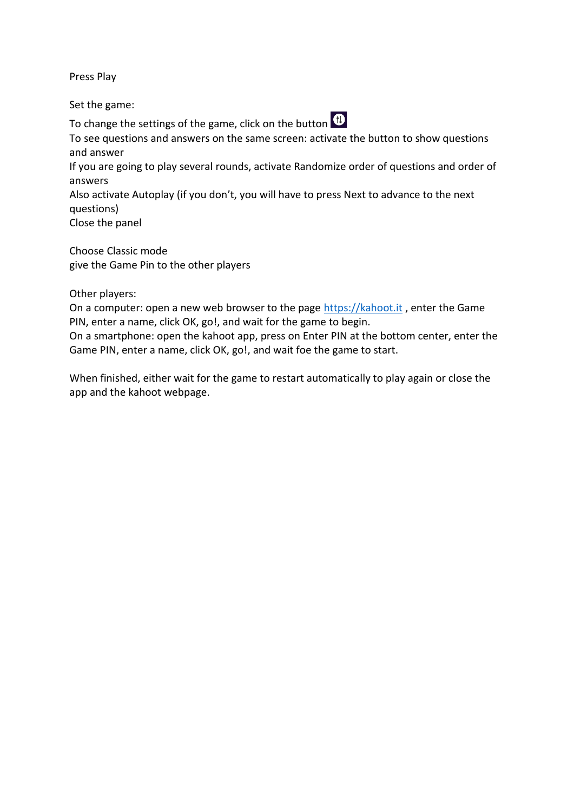Press Play

Set the game:

To change the settings of the game, click on the button  $\bigoplus$ 

To see questions and answers on the same screen: activate the button to show questions and answer

If you are going to play several rounds, activate Randomize order of questions and order of answers

Also activate Autoplay (if you don't, you will have to press Next to advance to the next questions)

Close the panel

Choose Classic mode give the Game Pin to the other players

Other players:

On a computer: open a new web browser to the page [https://kahoot.it](https://kahoot.it/), enter the Game PIN, enter a name, click OK, go!, and wait for the game to begin.

On a smartphone: open the kahoot app, press on Enter PIN at the bottom center, enter the Game PIN, enter a name, click OK, go!, and wait foe the game to start.